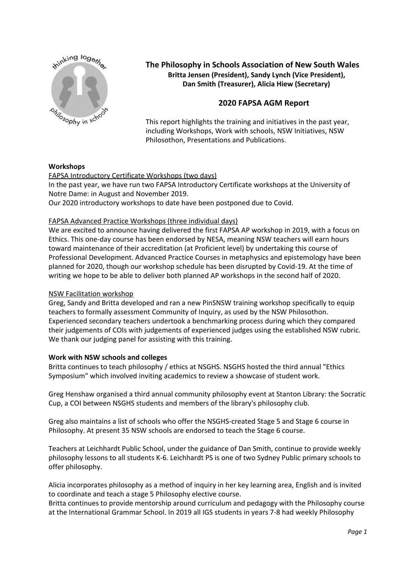

## **The Philosophy in Schools Association of New South Wales Britta Jensen (President), Sandy Lynch (Vice President), Dan Smith (Treasurer), Alicia Hiew (Secretary)**

# **2020 FAPSA AGM Report**

This report highlights the training and initiatives in the past year, including Workshops, Work with schools, NSW Initiatives, NSW Philosothon, Presentations and Publications.

## **Workshops**

## FAPSA Introductory Certificate Workshops (two days)

In the past year, we have run two FAPSA Introductory Certificate workshops at the University of Notre Dame: in August and November 2019.

Our 2020 introductory workshops to date have been postponed due to Covid.

## FAPSA Advanced Practice Workshops (three individual days)

We are excited to announce having delivered the first FAPSA AP workshop in 2019, with a focus on Ethics. This one-day course has been endorsed by NESA, meaning NSW teachers will earn hours toward maintenance of their accreditation (at Proficient level) by undertaking this course of Professional Development. Advanced Practice Courses in metaphysics and epistemology have been planned for 2020, though our workshop schedule has been disrupted by Covid-19. At the time of writing we hope to be able to deliver both planned AP workshops in the second half of 2020.

#### NSW Facilitation workshop

Greg, Sandy and Britta developed and ran a new PinSNSW training workshop specifically to equip teachers to formally assessment Community of Inquiry, as used by the NSW Philosothon. Experienced secondary teachers undertook a benchmarking process during which they compared their judgements of COIs with judgements of experienced judges using the established NSW rubric. We thank our judging panel for assisting with this training.

#### **Work with NSW schools and colleges**

Britta continues to teach philosophy / ethics at NSGHS. NSGHS hosted the third annual "Ethics Symposium" which involved inviting academics to review a showcase of student work.

Greg Henshaw organised a third annual community philosophy event at Stanton Library: the Socratic Cup, a COI between NSGHS students and members of the library's philosophy club.

Greg also maintains a list of schools who offer the NSGHS-created Stage 5 and Stage 6 course in Philosophy. At present 35 NSW schools are endorsed to teach the Stage 6 course.

Teachers at Leichhardt Public School, under the guidance of Dan Smith, continue to provide weekly philosophy lessons to all students K-6. Leichhardt PS is one of two Sydney Public primary schools to offer philosophy.

Alicia incorporates philosophy as a method of inquiry in her key learning area, English and is invited to coordinate and teach a stage 5 Philosophy elective course.

Britta continues to provide mentorship around curriculum and pedagogy with the Philosophy course at the International Grammar School. In 2019 all IGS students in years 7-8 had weekly Philosophy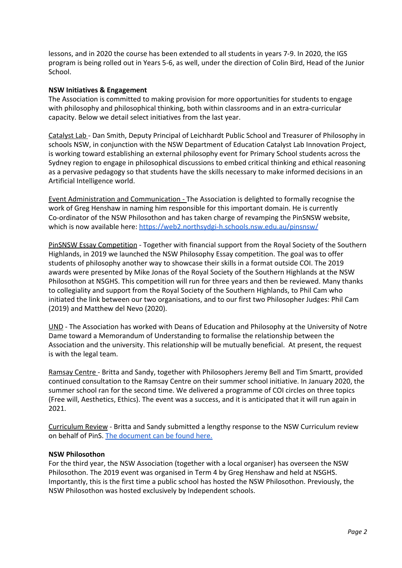lessons, and in 2020 the course has been extended to all students in years 7-9. In 2020, the IGS program is being rolled out in Years 5-6, as well, under the direction of Colin Bird, Head of the Junior School.

## **NSW Initiatives & Engagement**

The Association is committed to making provision for more opportunities for students to engage with philosophy and philosophical thinking, both within classrooms and in an extra-curricular capacity. Below we detail select initiatives from the last year.

Catalyst Lab - Dan Smith, Deputy Principal of Leichhardt Public School and Treasurer of Philosophy in schools NSW, in conjunction with the NSW Department of Education Catalyst Lab Innovation Project, is working toward establishing an external philosophy event for Primary School students across the Sydney region to engage in philosophical discussions to embed critical thinking and ethical reasoning as a pervasive pedagogy so that students have the skills necessary to make informed decisions in an Artificial Intelligence world.

Event Administration and Communication - The Association is delighted to formally recognise the work of Greg Henshaw in naming him responsible for this important domain. He is currently Co-ordinator of the NSW Philosothon and has taken charge of revamping the PinSNSW website, which is now available here: <https://web2.northsydgi-h.schools.nsw.edu.au/pinsnsw/>

PinSNSW Essay Competition - Together with financial support from the Royal Society of the Southern Highlands, in 2019 we launched the NSW Philosophy Essay competition. The goal was to offer students of philosophy another way to showcase their skills in a format outside COI. The 2019 awards were presented by Mike Jonas of the Royal Society of the Southern Highlands at the NSW Philosothon at NSGHS. This competition will run for three years and then be reviewed. Many thanks to collegiality and support from the Royal Society of the Southern Highlands, to Phil Cam who initiated the link between our two organisations, and to our first two Philosopher Judges: Phil Cam (2019) and Matthew del Nevo (2020).

UND - The Association has worked with Deans of Education and Philosophy at the University of Notre Dame toward a Memorandum of Understanding to formalise the relationship between the Association and the university. This relationship will be mutually beneficial. At present, the request is with the legal team.

Ramsay Centre - Britta and Sandy, together with Philosophers Jeremy Bell and Tim Smartt, provided continued consultation to the Ramsay Centre on their summer school initiative. In January 2020, the summer school ran for the second time. We delivered a programme of COI circles on three topics (Free will, Aesthetics, Ethics). The event was a success, and it is anticipated that it will run again in 2021.

Curriculum Review - Britta and Sandy submitted a lengthy response to the NSW Curriculum review on behalf of PinS. The [document](https://docs.google.com/document/d/1GpnfdfGdmNpjEwr09fZqcL7CpyWUmrBjCKNngQbd7Ig/edit#heading=h.7ofdnd3z0kzg) can be found here.

#### **NSW Philosothon**

For the third year, the NSW Association (together with a local organiser) has overseen the NSW Philosothon. The 2019 event was organised in Term 4 by Greg Henshaw and held at NSGHS. Importantly, this is the first time a public school has hosted the NSW Philosothon. Previously, the NSW Philosothon was hosted exclusively by Independent schools.